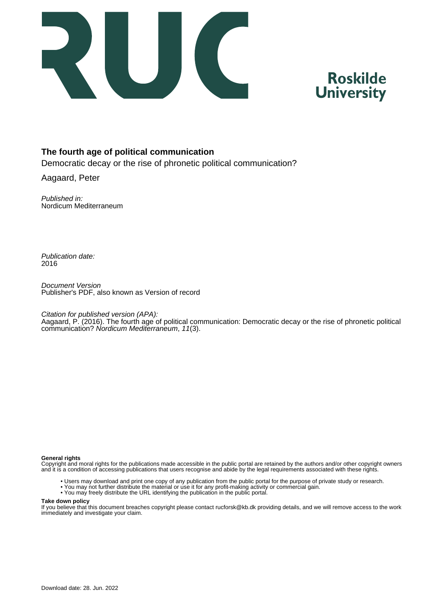

# **Roskilde University**

#### **The fourth age of political communication**

Democratic decay or the rise of phronetic political communication?

Aagaard, Peter

Published in: Nordicum Mediterraneum

Publication date: 2016

Document Version Publisher's PDF, also known as Version of record

Citation for published version (APA):

Aagaard, P. (2016). The fourth age of political communication: Democratic decay or the rise of phronetic political communication? Nordicum Mediterraneum, 11(3).

#### **General rights**

Copyright and moral rights for the publications made accessible in the public portal are retained by the authors and/or other copyright owners and it is a condition of accessing publications that users recognise and abide by the legal requirements associated with these rights.

- Users may download and print one copy of any publication from the public portal for the purpose of private study or research.
- You may not further distribute the material or use it for any profit-making activity or commercial gain.
- You may freely distribute the URL identifying the publication in the public portal.

#### **Take down policy**

If you believe that this document breaches copyright please contact rucforsk@kb.dk providing details, and we will remove access to the work immediately and investigate your claim.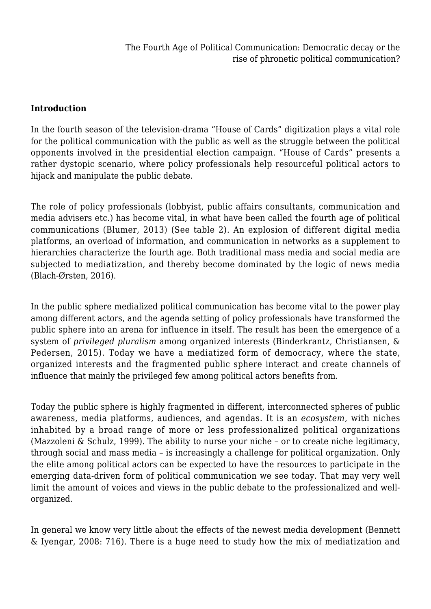#### **Introduction**

In the fourth season of the television-drama "House of Cards" digitization plays a vital role for the political communication with the public as well as the struggle between the political opponents involved in the presidential election campaign. "House of Cards" presents a rather dystopic scenario, where policy professionals help resourceful political actors to hijack and manipulate the public debate.

The role of policy professionals (lobbyist, public affairs consultants, communication and media advisers etc.) has become vital, in what have been called the fourth age of political communications (Blumer, 2013) (See table 2). An explosion of different digital media platforms, an overload of information, and communication in networks as a supplement to hierarchies characterize the fourth age. Both traditional mass media and social media are subjected to mediatization, and thereby become dominated by the logic of news media (Blach-Ørsten, 2016).

In the public sphere medialized political communication has become vital to the power play among different actors, and the agenda setting of policy professionals have transformed the public sphere into an arena for influence in itself. The result has been the emergence of a system of *privileged pluralism* among organized interests (Binderkrantz, Christiansen, & Pedersen, 2015). Today we have a mediatized form of democracy, where the state, organized interests and the fragmented public sphere interact and create channels of influence that mainly the privileged few among political actors benefits from.

Today the public sphere is highly fragmented in different, interconnected spheres of public awareness, media platforms, audiences, and agendas. It is an *ecosystem*, with niches inhabited by a broad range of more or less professionalized political organizations (Mazzoleni & Schulz, 1999). The ability to nurse your niche – or to create niche legitimacy, through social and mass media – is increasingly a challenge for political organization. Only the elite among political actors can be expected to have the resources to participate in the emerging data-driven form of political communication we see today. That may very well limit the amount of voices and views in the public debate to the professionalized and wellorganized.

In general we know very little about the effects of the newest media development (Bennett & Iyengar, 2008: 716). There is a huge need to study how the mix of mediatization and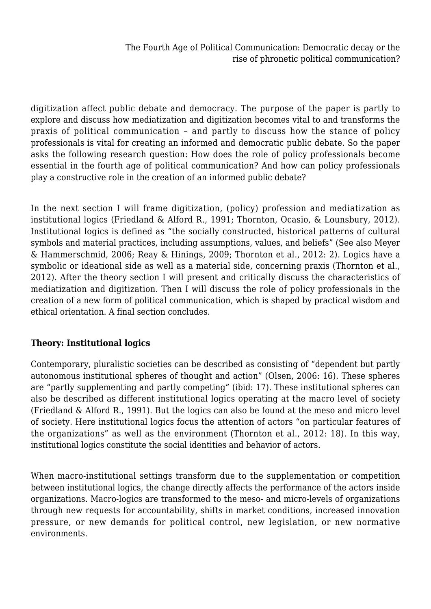digitization affect public debate and democracy. The purpose of the paper is partly to explore and discuss how mediatization and digitization becomes vital to and transforms the praxis of political communication – and partly to discuss how the stance of policy professionals is vital for creating an informed and democratic public debate. So the paper asks the following research question: How does the role of policy professionals become essential in the fourth age of political communication? And how can policy professionals play a constructive role in the creation of an informed public debate?

In the next section I will frame digitization, (policy) profession and mediatization as institutional logics (Friedland & Alford R., 1991; Thornton, Ocasio, & Lounsbury, 2012). Institutional logics is defined as "the socially constructed, historical patterns of cultural symbols and material practices, including assumptions, values, and beliefs" (See also Meyer & Hammerschmid, 2006; Reay & Hinings, 2009; Thornton et al., 2012: 2). Logics have a symbolic or ideational side as well as a material side, concerning praxis (Thornton et al., 2012). After the theory section I will present and critically discuss the characteristics of mediatization and digitization. Then I will discuss the role of policy professionals in the creation of a new form of political communication, which is shaped by practical wisdom and ethical orientation. A final section concludes.

### **Theory: Institutional logics**

Contemporary, pluralistic societies can be described as consisting of "dependent but partly autonomous institutional spheres of thought and action" (Olsen, 2006: 16). These spheres are "partly supplementing and partly competing" (ibid: 17). These institutional spheres can also be described as different institutional logics operating at the macro level of society (Friedland & Alford R., 1991). But the logics can also be found at the meso and micro level of society. Here institutional logics focus the attention of actors "on particular features of the organizations" as well as the environment (Thornton et al., 2012: 18). In this way, institutional logics constitute the social identities and behavior of actors.

When macro-institutional settings transform due to the supplementation or competition between institutional logics, the change directly affects the performance of the actors inside organizations. Macro-logics are transformed to the meso- and micro-levels of organizations through new requests for accountability, shifts in market conditions, increased innovation pressure, or new demands for political control, new legislation, or new normative environments.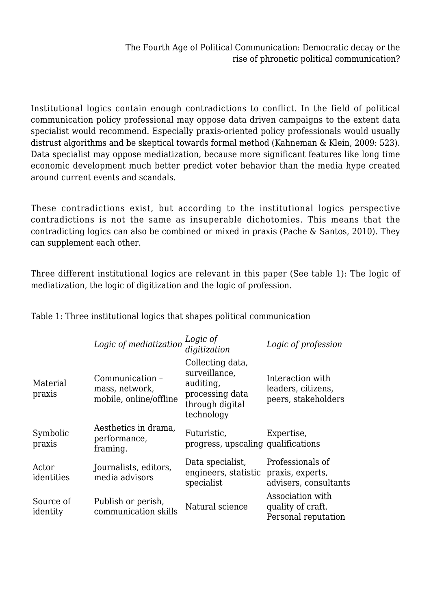Institutional logics contain enough contradictions to conflict. In the field of political communication policy professional may oppose data driven campaigns to the extent data specialist would recommend. Especially praxis-oriented policy professionals would usually distrust algorithms and be skeptical towards formal method (Kahneman & Klein, 2009: 523). Data specialist may oppose mediatization, because more significant features like long time economic development much better predict voter behavior than the media hype created around current events and scandals.

These contradictions exist, but according to the institutional logics perspective contradictions is not the same as insuperable dichotomies. This means that the contradicting logics can also be combined or mixed in praxis (Pache & Santos, 2010). They can supplement each other.

Three different institutional logics are relevant in this paper (See table 1): The logic of mediatization, the logic of digitization and the logic of profession.

|                       | Logic of mediatization                                      | Logic of<br>digitization                                                                           | Logic of profession                                           |
|-----------------------|-------------------------------------------------------------|----------------------------------------------------------------------------------------------------|---------------------------------------------------------------|
| Material<br>praxis    | Communication -<br>mass, network,<br>mobile, online/offline | Collecting data,<br>surveillance,<br>auditing,<br>processing data<br>through digital<br>technology | Interaction with<br>leaders, citizens,<br>peers, stakeholders |
| Symbolic<br>praxis    | Aesthetics in drama,<br>performance,<br>framing.            | Futuristic,<br>progress, upscaling qualifications                                                  | Expertise,                                                    |
| Actor<br>identities   | Journalists, editors,<br>media advisors                     | Data specialist,<br>engineers, statistic<br>specialist                                             | Professionals of<br>praxis, experts,<br>advisers, consultants |
| Source of<br>identity | Publish or perish,<br>communication skills                  | Natural science                                                                                    | Association with<br>quality of craft.<br>Personal reputation  |

Table 1: Three institutional logics that shapes political communication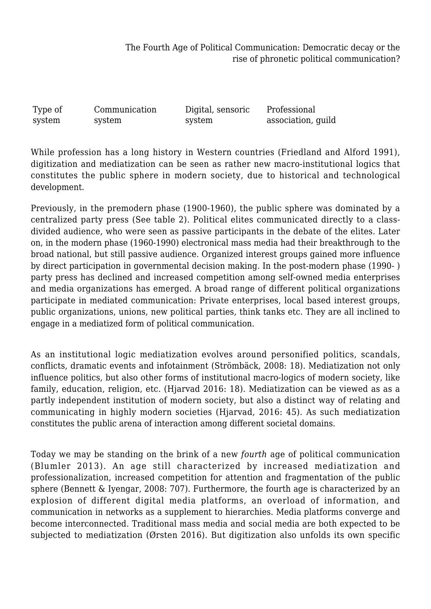Type of system Communication system Digital, sensoric system Professional association, guild

While profession has a long history in Western countries (Friedland and Alford 1991), digitization and mediatization can be seen as rather new macro-institutional logics that constitutes the public sphere in modern society, due to historical and technological development.

Previously, in the premodern phase (1900-1960), the public sphere was dominated by a centralized party press (See table 2). Political elites communicated directly to a classdivided audience, who were seen as passive participants in the debate of the elites. Later on, in the modern phase (1960-1990) electronical mass media had their breakthrough to the broad national, but still passive audience. Organized interest groups gained more influence by direct participation in governmental decision making. In the post-modern phase (1990- ) party press has declined and increased competition among self-owned media enterprises and media organizations has emerged. A broad range of different political organizations participate in mediated communication: Private enterprises, local based interest groups, public organizations, unions, new political parties, think tanks etc. They are all inclined to engage in a mediatized form of political communication.

As an institutional logic mediatization evolves around personified politics, scandals, conflicts, dramatic events and infotainment (Strömbäck, 2008: 18). Mediatization not only influence politics, but also other forms of institutional macro-logics of modern society, like family, education, religion, etc. (Hjarvad 2016: 18). Mediatization can be viewed as as a partly independent institution of modern society, but also a distinct way of relating and communicating in highly modern societies (Hjarvad, 2016: 45). As such mediatization constitutes the public arena of interaction among different societal domains.

Today we may be standing on the brink of a new *fourth* age of political communication (Blumler 2013). An age still characterized by increased mediatization and professionalization, increased competition for attention and fragmentation of the public sphere (Bennett & Iyengar, 2008: 707). Furthermore, the fourth age is characterized by an explosion of different digital media platforms, an overload of information, and communication in networks as a supplement to hierarchies. Media platforms converge and become interconnected. Traditional mass media and social media are both expected to be subjected to mediatization (Ørsten 2016). But digitization also unfolds its own specific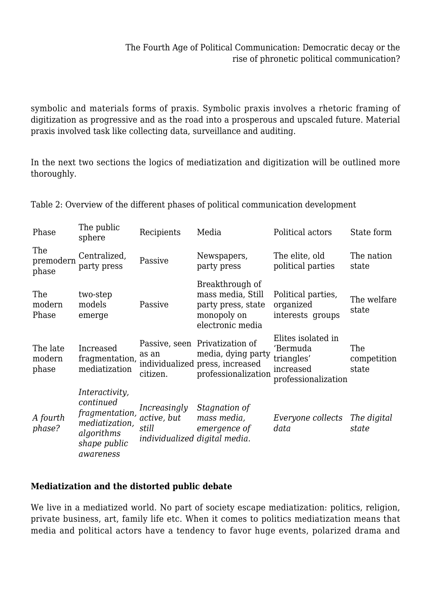symbolic and materials forms of praxis. Symbolic praxis involves a rhetoric framing of digitization as progressive and as the road into a prosperous and upscaled future. Material praxis involved task like collecting data, surveillance and auditing.

In the next two sections the logics of mediatization and digitization will be outlined more thoroughly.

| Phase                       | The public<br>sphere                                                                                       | Recipients                                                            | Media                                                                                                          | Political actors                                                                 | State form                  |
|-----------------------------|------------------------------------------------------------------------------------------------------------|-----------------------------------------------------------------------|----------------------------------------------------------------------------------------------------------------|----------------------------------------------------------------------------------|-----------------------------|
| The<br>premodern<br>phase   | Centralized,<br>party press                                                                                | Passive                                                               | Newspapers,<br>party press                                                                                     | The elite, old<br>political parties                                              | The nation<br>state         |
| The<br>modern<br>Phase      | two-step<br>models<br>emerge                                                                               | Passive                                                               | Breakthrough of<br>mass media, Still<br>party press, state<br>monopoly on<br>electronic media                  | Political parties,<br>organized<br>interests groups                              | The welfare<br>state        |
| The late<br>modern<br>phase | Increased<br>fragmentation,<br>mediatization                                                               | as an<br>citizen.                                                     | Passive, seen Privatization of<br>media, dying party<br>individualized press, increased<br>professionalization | Elites isolated in<br>'Bermuda<br>triangles'<br>increased<br>professionalization | The<br>competition<br>state |
| A fourth<br>phase?          | Interactivity,<br>continued<br>fragmentation,<br>mediatization,<br>algorithms<br>shape public<br>awareness | Increasingly<br>active, but<br>still<br>individualized digital media. | Stagnation of<br>mass media,<br>emergence of                                                                   | Everyone collects<br>data                                                        | The digital<br>state        |

Table 2: Overview of the different phases of political communication development

### **Mediatization and the distorted public debate**

We live in a mediatized world. No part of society escape mediatization: politics, religion, private business, art, family life etc. When it comes to politics mediatization means that media and political actors have a tendency to favor huge events, polarized drama and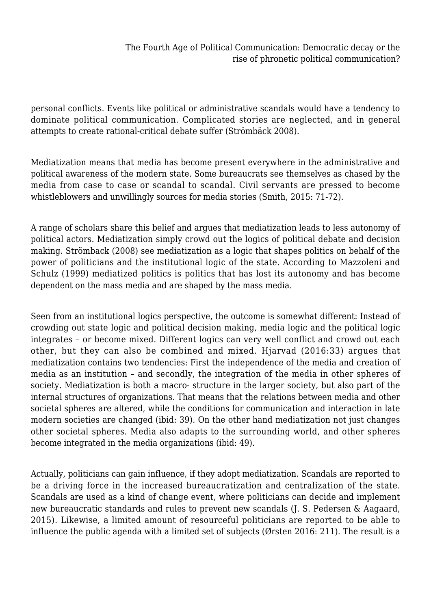personal conflicts. Events like political or administrative scandals would have a tendency to dominate political communication. Complicated stories are neglected, and in general attempts to create rational-critical debate suffer (Strömbäck 2008).

Mediatization means that media has become present everywhere in the administrative and political awareness of the modern state. Some bureaucrats see themselves as chased by the media from case to case or scandal to scandal. Civil servants are pressed to become whistleblowers and unwillingly sources for media stories (Smith, 2015: 71-72).

A range of scholars share this belief and argues that mediatization leads to less autonomy of political actors. Mediatization simply crowd out the logics of political debate and decision making. Strömback (2008) see mediatization as a logic that shapes politics on behalf of the power of politicians and the institutional logic of the state. According to Mazzoleni and Schulz (1999) mediatized politics is politics that has lost its autonomy and has become dependent on the mass media and are shaped by the mass media.

Seen from an institutional logics perspective, the outcome is somewhat different: Instead of crowding out state logic and political decision making, media logic and the political logic integrates – or become mixed. Different logics can very well conflict and crowd out each other, but they can also be combined and mixed. Hjarvad (2016:33) argues that mediatization contains two tendencies: First the independence of the media and creation of media as an institution – and secondly, the integration of the media in other spheres of society. Mediatization is both a macro- structure in the larger society, but also part of the internal structures of organizations. That means that the relations between media and other societal spheres are altered, while the conditions for communication and interaction in late modern societies are changed (ibid: 39). On the other hand mediatization not just changes other societal spheres. Media also adapts to the surrounding world, and other spheres become integrated in the media organizations (ibid: 49).

Actually, politicians can gain influence, if they adopt mediatization. Scandals are reported to be a driving force in the increased bureaucratization and centralization of the state. Scandals are used as a kind of change event, where politicians can decide and implement new bureaucratic standards and rules to prevent new scandals (J. S. Pedersen & Aagaard, 2015). Likewise, a limited amount of resourceful politicians are reported to be able to influence the public agenda with a limited set of subjects (Ørsten 2016: 211). The result is a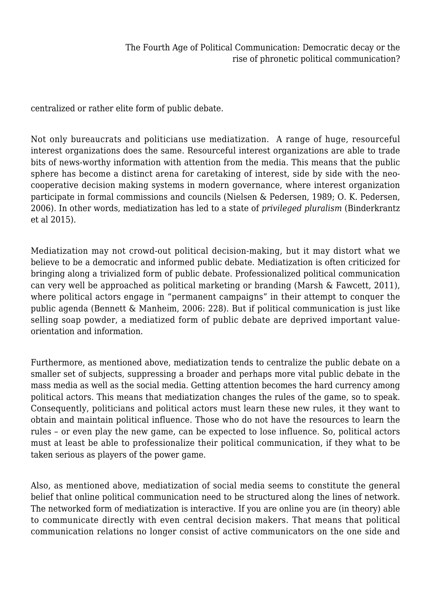centralized or rather elite form of public debate.

Not only bureaucrats and politicians use mediatization. A range of huge, resourceful interest organizations does the same. Resourceful interest organizations are able to trade bits of news-worthy information with attention from the media. This means that the public sphere has become a distinct arena for caretaking of interest, side by side with the neocooperative decision making systems in modern governance, where interest organization participate in formal commissions and councils (Nielsen & Pedersen, 1989; O. K. Pedersen, 2006). In other words, mediatization has led to a state of *privileged pluralism* (Binderkrantz et al 2015).

Mediatization may not crowd-out political decision-making, but it may distort what we believe to be a democratic and informed public debate. Mediatization is often criticized for bringing along a trivialized form of public debate. Professionalized political communication can very well be approached as political marketing or branding (Marsh & Fawcett, 2011), where political actors engage in "permanent campaigns" in their attempt to conquer the public agenda (Bennett & Manheim, 2006: 228). But if political communication is just like selling soap powder, a mediatized form of public debate are deprived important valueorientation and information.

Furthermore, as mentioned above, mediatization tends to centralize the public debate on a smaller set of subjects, suppressing a broader and perhaps more vital public debate in the mass media as well as the social media. Getting attention becomes the hard currency among political actors. This means that mediatization changes the rules of the game, so to speak. Consequently, politicians and political actors must learn these new rules, it they want to obtain and maintain political influence. Those who do not have the resources to learn the rules – or even play the new game, can be expected to lose influence. So, political actors must at least be able to professionalize their political communication, if they what to be taken serious as players of the power game.

Also, as mentioned above, mediatization of social media seems to constitute the general belief that online political communication need to be structured along the lines of network. The networked form of mediatization is interactive. If you are online you are (in theory) able to communicate directly with even central decision makers. That means that political communication relations no longer consist of active communicators on the one side and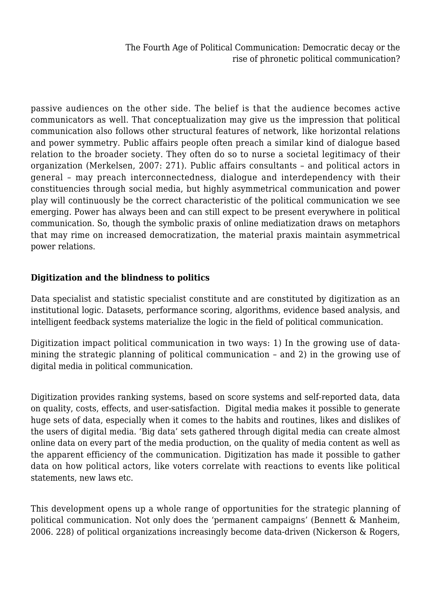passive audiences on the other side. The belief is that the audience becomes active communicators as well. That conceptualization may give us the impression that political communication also follows other structural features of network, like horizontal relations and power symmetry. Public affairs people often preach a similar kind of dialogue based relation to the broader society. They often do so to nurse a societal legitimacy of their organization (Merkelsen, 2007: 271). Public affairs consultants – and political actors in general – may preach interconnectedness, dialogue and interdependency with their constituencies through social media, but highly asymmetrical communication and power play will continuously be the correct characteristic of the political communication we see emerging. Power has always been and can still expect to be present everywhere in political communication. So, though the symbolic praxis of online mediatization draws on metaphors that may rime on increased democratization, the material praxis maintain asymmetrical power relations.

#### **Digitization and the blindness to politics**

Data specialist and statistic specialist constitute and are constituted by digitization as an institutional logic. Datasets, performance scoring, algorithms, evidence based analysis, and intelligent feedback systems materialize the logic in the field of political communication.

Digitization impact political communication in two ways: 1) In the growing use of datamining the strategic planning of political communication – and 2) in the growing use of digital media in political communication.

Digitization provides ranking systems, based on score systems and self-reported data, data on quality, costs, effects, and user-satisfaction. Digital media makes it possible to generate huge sets of data, especially when it comes to the habits and routines, likes and dislikes of the users of digital media. 'Big data' sets gathered through digital media can create almost online data on every part of the media production, on the quality of media content as well as the apparent efficiency of the communication. Digitization has made it possible to gather data on how political actors, like voters correlate with reactions to events like political statements, new laws etc.

This development opens up a whole range of opportunities for the strategic planning of political communication. Not only does the 'permanent campaigns' (Bennett & Manheim, 2006. 228) of political organizations increasingly become data-driven (Nickerson & Rogers,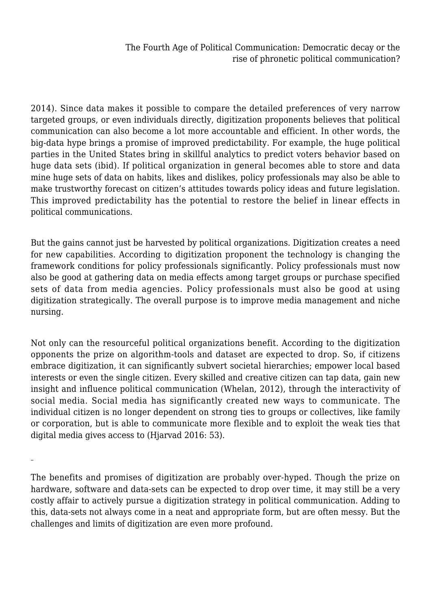2014). Since data makes it possible to compare the detailed preferences of very narrow targeted groups, or even individuals directly, digitization proponents believes that political communication can also become a lot more accountable and efficient. In other words, the big-data hype brings a promise of improved predictability. For example, the huge political parties in the United States bring in skillful analytics to predict voters behavior based on huge data sets (ibid). If political organization in general becomes able to store and data mine huge sets of data on habits, likes and dislikes, policy professionals may also be able to make trustworthy forecast on citizen's attitudes towards policy ideas and future legislation. This improved predictability has the potential to restore the belief in linear effects in political communications.

But the gains cannot just be harvested by political organizations. Digitization creates a need for new capabilities. According to digitization proponent the technology is changing the framework conditions for policy professionals significantly. Policy professionals must now also be good at gathering data on media effects among target groups or purchase specified sets of data from media agencies. Policy professionals must also be good at using digitization strategically. The overall purpose is to improve media management and niche nursing.

Not only can the resourceful political organizations benefit. According to the digitization opponents the prize on algorithm-tools and dataset are expected to drop. So, if citizens embrace digitization, it can significantly subvert societal hierarchies; empower local based interests or even the single citizen. Every skilled and creative citizen can tap data, gain new insight and influence political communication (Whelan, 2012), through the interactivity of social media. Social media has significantly created new ways to communicate. The individual citizen is no longer dependent on strong ties to groups or collectives, like family or corporation, but is able to communicate more flexible and to exploit the weak ties that digital media gives access to (Hjarvad 2016: 53).

The benefits and promises of digitization are probably over-hyped. Though the prize on hardware, software and data-sets can be expected to drop over time, it may still be a very costly affair to actively pursue a digitization strategy in political communication. Adding to this, data-sets not always come in a neat and appropriate form, but are often messy. But the challenges and limits of digitization are even more profound.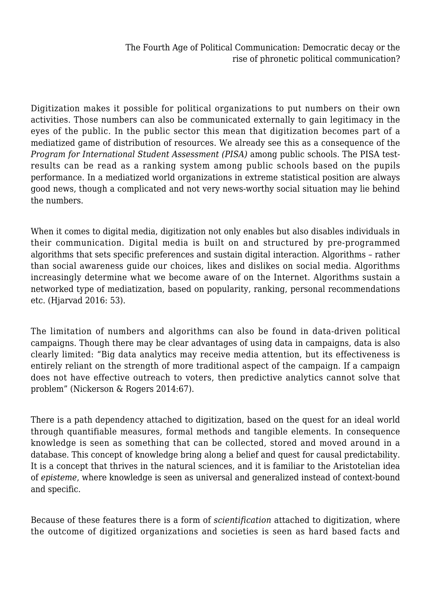Digitization makes it possible for political organizations to put numbers on their own activities. Those numbers can also be communicated externally to gain legitimacy in the eyes of the public. In the public sector this mean that digitization becomes part of a mediatized game of distribution of resources. We already see this as a consequence of the *Program for International Student Assessment (PISA)* among public schools. The PISA testresults can be read as a ranking system among public schools based on the pupils performance. In a mediatized world organizations in extreme statistical position are always good news, though a complicated and not very news-worthy social situation may lie behind the numbers.

When it comes to digital media, digitization not only enables but also disables individuals in their communication. Digital media is built on and structured by pre-programmed algorithms that sets specific preferences and sustain digital interaction. Algorithms – rather than social awareness guide our choices, likes and dislikes on social media. Algorithms increasingly determine what we become aware of on the Internet. Algorithms sustain a networked type of mediatization, based on popularity, ranking, personal recommendations etc. (Hjarvad 2016: 53).

The limitation of numbers and algorithms can also be found in data-driven political campaigns. Though there may be clear advantages of using data in campaigns, data is also clearly limited: "Big data analytics may receive media attention, but its effectiveness is entirely reliant on the strength of more traditional aspect of the campaign. If a campaign does not have effective outreach to voters, then predictive analytics cannot solve that problem" (Nickerson & Rogers 2014:67).

There is a path dependency attached to digitization, based on the quest for an ideal world through quantifiable measures, formal methods and tangible elements. In consequence knowledge is seen as something that can be collected, stored and moved around in a database. This concept of knowledge bring along a belief and quest for causal predictability. It is a concept that thrives in the natural sciences, and it is familiar to the Aristotelian idea of *episteme*, where knowledge is seen as universal and generalized instead of context-bound and specific.

Because of these features there is a form of *scientification* attached to digitization, where the outcome of digitized organizations and societies is seen as hard based facts and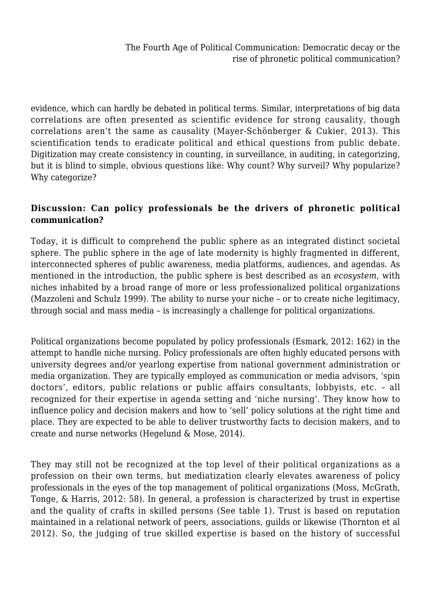evidence, which can hardly be debated in political terms. Similar, interpretations of big data correlations are often presented as scientific evidence for strong causality, though correlations aren't the same as causality (Mayer-Schönberger & Cukier, 2013). This scientification tends to eradicate political and ethical questions from public debate. Digitization may create consistency in counting, in surveillance, in auditing, in categorizing, but it is blind to simple, obvious questions like: Why count? Why surveil? Why popularize? Why categorize?

#### **Discussion: Can policy professionals be the drivers of phronetic political communication?**

Today, it is difficult to comprehend the public sphere as an integrated distinct societal sphere. The public sphere in the age of late modernity is highly fragmented in different, interconnected spheres of public awareness, media platforms, audiences, and agendas. As mentioned in the introduction, the public sphere is best described as an *ecosystem*, with niches inhabited by a broad range of more or less professionalized political organizations (Mazzoleni and Schulz 1999). The ability to nurse your niche – or to create niche legitimacy, through social and mass media – is increasingly a challenge for political organizations.

Political organizations become populated by policy professionals (Esmark, 2012: 162) in the attempt to handle niche nursing. Policy professionals are often highly educated persons with university degrees and/or yearlong expertise from national government administration or media organization. They are typically employed as communication or media advisors, 'spin doctors', editors, public relations or public affairs consultants, lobbyists, etc. – all recognized for their expertise in agenda setting and 'niche nursing'. They know how to influence policy and decision makers and how to 'sell' policy solutions at the right time and place. They are expected to be able to deliver trustworthy facts to decision makers, and to create and nurse networks (Hegelund & Mose, 2014).

They may still not be recognized at the top level of their political organizations as a profession on their own terms, but mediatization clearly elevates awareness of policy professionals in the eyes of the top management of political organizations (Moss, McGrath, Tonge, & Harris, 2012: 58). In general, a profession is characterized by trust in expertise and the quality of crafts in skilled persons (See table 1). Trust is based on reputation maintained in a relational network of peers, associations, guilds or likewise (Thornton et al 2012). So, the judging of true skilled expertise is based on the history of successful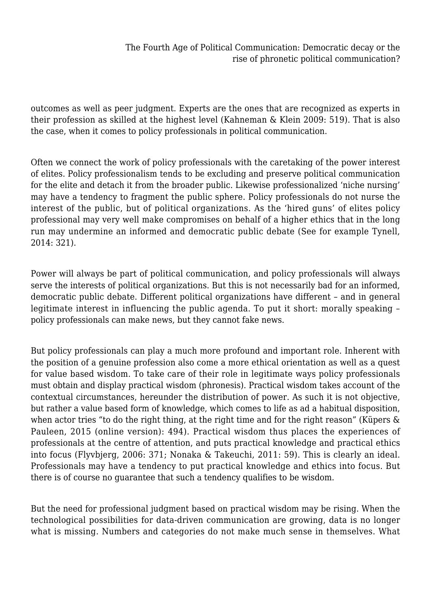outcomes as well as peer judgment. Experts are the ones that are recognized as experts in their profession as skilled at the highest level (Kahneman & Klein 2009: 519). That is also the case, when it comes to policy professionals in political communication.

Often we connect the work of policy professionals with the caretaking of the power interest of elites. Policy professionalism tends to be excluding and preserve political communication for the elite and detach it from the broader public. Likewise professionalized 'niche nursing' may have a tendency to fragment the public sphere. Policy professionals do not nurse the interest of the public, but of political organizations. As the 'hired guns' of elites policy professional may very well make compromises on behalf of a higher ethics that in the long run may undermine an informed and democratic public debate (See for example Tynell, 2014: 321).

Power will always be part of political communication, and policy professionals will always serve the interests of political organizations. But this is not necessarily bad for an informed, democratic public debate. Different political organizations have different – and in general legitimate interest in influencing the public agenda. To put it short: morally speaking – policy professionals can make news, but they cannot fake news.

But policy professionals can play a much more profound and important role. Inherent with the position of a genuine profession also come a more ethical orientation as well as a quest for value based wisdom. To take care of their role in legitimate ways policy professionals must obtain and display practical wisdom (phronesis). Practical wisdom takes account of the contextual circumstances, hereunder the distribution of power. As such it is not objective, but rather a value based form of knowledge, which comes to life as ad a habitual disposition, when actor tries "to do the right thing, at the right time and for the right reason" (Küpers & Pauleen, 2015 (online version): 494). Practical wisdom thus places the experiences of professionals at the centre of attention, and puts practical knowledge and practical ethics into focus (Flyvbjerg, 2006: 371; Nonaka & Takeuchi, 2011: 59). This is clearly an ideal. Professionals may have a tendency to put practical knowledge and ethics into focus. But there is of course no guarantee that such a tendency qualifies to be wisdom.

But the need for professional judgment based on practical wisdom may be rising. When the technological possibilities for data-driven communication are growing, data is no longer what is missing. Numbers and categories do not make much sense in themselves. What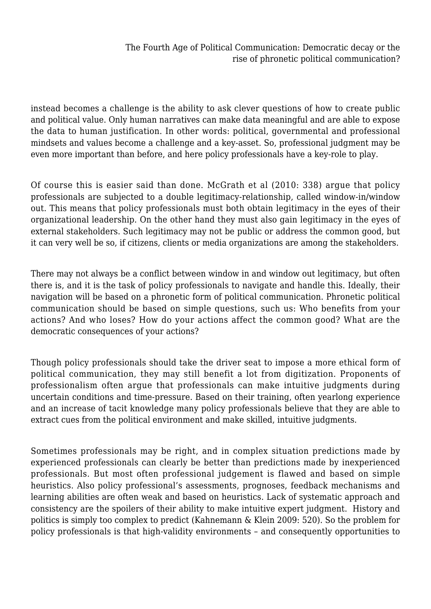instead becomes a challenge is the ability to ask clever questions of how to create public and political value. Only human narratives can make data meaningful and are able to expose the data to human justification. In other words: political, governmental and professional mindsets and values become a challenge and a key-asset. So, professional judgment may be even more important than before, and here policy professionals have a key-role to play.

Of course this is easier said than done. McGrath et al (2010: 338) argue that policy professionals are subjected to a double legitimacy-relationship, called window-in/window out. This means that policy professionals must both obtain legitimacy in the eyes of their organizational leadership. On the other hand they must also gain legitimacy in the eyes of external stakeholders. Such legitimacy may not be public or address the common good, but it can very well be so, if citizens, clients or media organizations are among the stakeholders.

There may not always be a conflict between window in and window out legitimacy, but often there is, and it is the task of policy professionals to navigate and handle this. Ideally, their navigation will be based on a phronetic form of political communication. Phronetic political communication should be based on simple questions, such us: Who benefits from your actions? And who loses? How do your actions affect the common good? What are the democratic consequences of your actions?

Though policy professionals should take the driver seat to impose a more ethical form of political communication, they may still benefit a lot from digitization. Proponents of professionalism often argue that professionals can make intuitive judgments during uncertain conditions and time-pressure. Based on their training, often yearlong experience and an increase of tacit knowledge many policy professionals believe that they are able to extract cues from the political environment and make skilled, intuitive judgments.

Sometimes professionals may be right, and in complex situation predictions made by experienced professionals can clearly be better than predictions made by inexperienced professionals. But most often professional judgement is flawed and based on simple heuristics. Also policy professional's assessments, prognoses, feedback mechanisms and learning abilities are often weak and based on heuristics. Lack of systematic approach and consistency are the spoilers of their ability to make intuitive expert judgment. History and politics is simply too complex to predict (Kahnemann & Klein 2009: 520). So the problem for policy professionals is that high-validity environments – and consequently opportunities to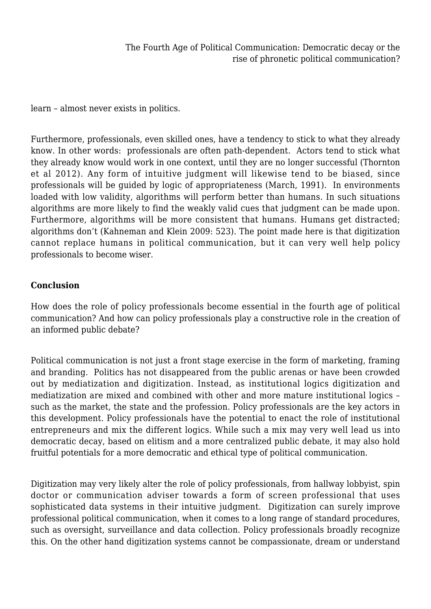learn – almost never exists in politics.

Furthermore, professionals, even skilled ones, have a tendency to stick to what they already know. In other words: professionals are often path-dependent. Actors tend to stick what they already know would work in one context, until they are no longer successful (Thornton et al 2012). Any form of intuitive judgment will likewise tend to be biased, since professionals will be guided by logic of appropriateness (March, 1991). In environments loaded with low validity, algorithms will perform better than humans. In such situations algorithms are more likely to find the weakly valid cues that judgment can be made upon. Furthermore, algorithms will be more consistent that humans. Humans get distracted; algorithms don't (Kahneman and Klein 2009: 523). The point made here is that digitization cannot replace humans in political communication, but it can very well help policy professionals to become wiser.

#### **Conclusion**

How does the role of policy professionals become essential in the fourth age of political communication? And how can policy professionals play a constructive role in the creation of an informed public debate?

Political communication is not just a front stage exercise in the form of marketing, framing and branding. Politics has not disappeared from the public arenas or have been crowded out by mediatization and digitization. Instead, as institutional logics digitization and mediatization are mixed and combined with other and more mature institutional logics – such as the market, the state and the profession. Policy professionals are the key actors in this development. Policy professionals have the potential to enact the role of institutional entrepreneurs and mix the different logics. While such a mix may very well lead us into democratic decay, based on elitism and a more centralized public debate, it may also hold fruitful potentials for a more democratic and ethical type of political communication.

Digitization may very likely alter the role of policy professionals, from hallway lobbyist, spin doctor or communication adviser towards a form of screen professional that uses sophisticated data systems in their intuitive judgment. Digitization can surely improve professional political communication, when it comes to a long range of standard procedures, such as oversight, surveillance and data collection. Policy professionals broadly recognize this. On the other hand digitization systems cannot be compassionate, dream or understand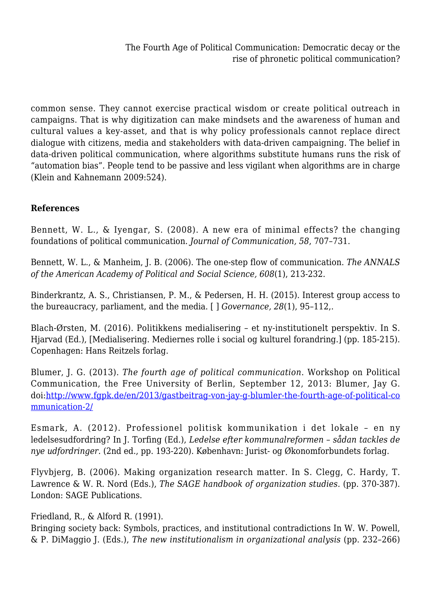common sense. They cannot exercise practical wisdom or create political outreach in campaigns. That is why digitization can make mindsets and the awareness of human and cultural values a key-asset, and that is why policy professionals cannot replace direct dialogue with citizens, media and stakeholders with data-driven campaigning. The belief in data-driven political communication, where algorithms substitute humans runs the risk of "automation bias". People tend to be passive and less vigilant when algorithms are in charge (Klein and Kahnemann 2009:524).

### **References**

Bennett, W. L., & Iyengar, S. (2008). A new era of minimal effects? the changing foundations of political communication. *Journal of Communication, 58*, 707–731.

Bennett, W. L., & Manheim, J. B. (2006). The one-step flow of communication. *The ANNALS of the American Academy of Political and Social Science, 608*(1), 213-232.

Binderkrantz, A. S., Christiansen, P. M., & Pedersen, H. H. (2015). Interest group access to the bureaucracy, parliament, and the media. [ ] *Governance, 28*(1), 95–112,.

Blach-Ørsten, M. (2016). Politikkens medialisering – et ny-institutionelt perspektiv. In S. Hjarvad (Ed.), [Medialisering. Mediernes rolle i social og kulturel forandring.] (pp. 185-215). Copenhagen: Hans Reitzels forlag.

Blumer, J. G. (2013). *The fourth age of political communication*. Workshop on Political Communication, the Free University of Berlin, September 12, 2013: Blumer, Jay G. doi[:http://www.fgpk.de/en/2013/gastbeitrag-von-jay-g-blumler-the-fourth-age-of-political-co](http://www.fgpk.de/en/2013/gastbeitrag-von-jay-g-blumler-the-fourth-age-of-political-communication-2/) [mmunication-2/](http://www.fgpk.de/en/2013/gastbeitrag-von-jay-g-blumler-the-fourth-age-of-political-communication-2/)

Esmark, A. (2012). Professionel politisk kommunikation i det lokale – en ny ledelsesudfordring? In J. Torfing (Ed.), *Ledelse efter kommunalreformen – sådan tackles de nye udfordringer.* (2nd ed., pp. 193-220). København: Jurist- og Økonomforbundets forlag.

Flyvbjerg, B. (2006). Making organization research matter. In S. Clegg, C. Hardy, T. Lawrence & W. R. Nord (Eds.), *The SAGE handbook of organization studies.* (pp. 370-387). London: SAGE Publications.

#### Friedland, R., & Alford R. (1991).

Bringing society back: Symbols, practices, and institutional contradictions In W. W. Powell, & P. DiMaggio J. (Eds.), *The new institutionalism in organizational analysis* (pp. 232–266)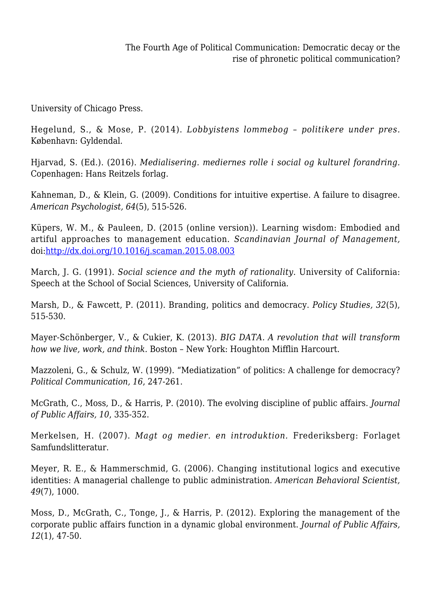University of Chicago Press.

Hegelund, S., & Mose, P. (2014). *Lobbyistens lommebog – politikere under pres.* København: Gyldendal.

Hjarvad, S. (Ed.). (2016). *Medialisering. mediernes rolle i social og kulturel forandring.* Copenhagen: Hans Reitzels forlag.

Kahneman, D., & Klein, G. (2009). Conditions for intuitive expertise. A failure to disagree. *American Psychologist, 64*(5), 515-526.

Küpers, W. M., & Pauleen, D. (2015 (online version)). Learning wisdom: Embodied and artiful approaches to management education. *Scandinavian Journal of Management,* doi[:http://dx.doi.org/10.1016/j.scaman.2015.08.003](http://dx.doi.org/10.1016/j.scaman.2015.08.003)

March, J. G. (1991). *Social science and the myth of rationality*. University of California: Speech at the School of Social Sciences, University of California.

Marsh, D., & Fawcett, P. (2011). Branding, politics and democracy. *Policy Studies, 32*(5), 515-530.

Mayer-Schönberger, V., & Cukier, K. (2013). *BIG DATA. A revolution that will transform how we live, work, and think.* Boston – New York: Houghton Mifflin Harcourt.

Mazzoleni, G., & Schulz, W. (1999). "Mediatization" of politics: A challenge for democracy? *Political Communication, 16*, 247-261.

McGrath, C., Moss, D., & Harris, P. (2010). The evolving discipline of public affairs. *Journal of Public Affairs, 10*, 335-352.

Merkelsen, H. (2007). *Magt og medier. en introduktion.* Frederiksberg: Forlaget Samfundslitteratur.

Meyer, R. E., & Hammerschmid, G. (2006). Changing institutional logics and executive identities: A managerial challenge to public administration. *American Behavioral Scientist, 49*(7), 1000.

Moss, D., McGrath, C., Tonge, J., & Harris, P. (2012). Exploring the management of the corporate public affairs function in a dynamic global environment. *Journal of Public Affairs, 12*(1), 47-50.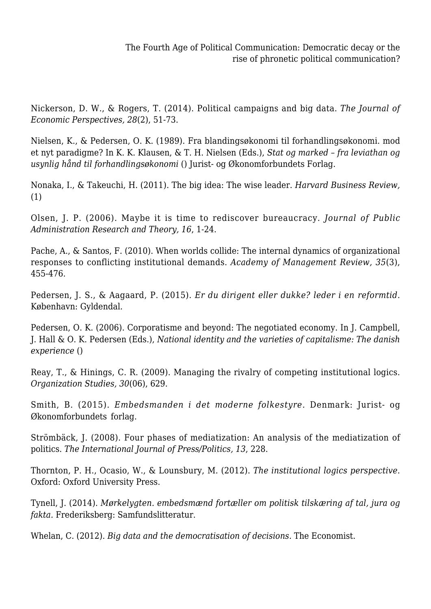Nickerson, D. W., & Rogers, T. (2014). Political campaigns and big data. *The Journal of Economic Perspectives, 28*(2), 51-73.

Nielsen, K., & Pedersen, O. K. (1989). Fra blandingsøkonomi til forhandlingsøkonomi. mod et nyt paradigme? In K. K. Klausen, & T. H. Nielsen (Eds.), *Stat og marked – fra leviathan og usynlig hånd til forhandlingsøkonomi* () Jurist- og Økonomforbundets Forlag.

Nonaka, I., & Takeuchi, H. (2011). The big idea: The wise leader. *Harvard Business Review,* (1)

Olsen, J. P. (2006). Maybe it is time to rediscover bureaucracy. *Journal of Public Administration Research and Theory, 16*, 1-24.

Pache, A., & Santos, F. (2010). When worlds collide: The internal dynamics of organizational responses to conflicting institutional demands. *Academy of Management Review, 35*(3), 455-476.

Pedersen, J. S., & Aagaard, P. (2015). *Er du dirigent eller dukke? leder i en reformtid*. København: Gyldendal.

Pedersen, O. K. (2006). Corporatisme and beyond: The negotiated economy. In J. Campbell, J. Hall & O. K. Pedersen (Eds.), *National identity and the varieties of capitalisme: The danish experience* ()

Reay, T., & Hinings, C. R. (2009). Managing the rivalry of competing institutional logics. *Organization Studies, 30*(06), 629.

Smith, B. (2015). *Embedsmanden i det moderne folkestyre.* Denmark: Jurist- og Økonomforbundets forlag.

Strömbäck, J. (2008). Four phases of mediatization: An analysis of the mediatization of politics. *The International Journal of Press/Politics, 13*, 228.

Thornton, P. H., Ocasio, W., & Lounsbury, M. (2012). *The institutional logics perspective*. Oxford: Oxford University Press.

Tynell, J. (2014). *Mørkelygten. embedsmænd fortæller om politisk tilskæring af tal, jura og fakta.* Frederiksberg: Samfundslitteratur.

Whelan, C. (2012). *Big data and the democratisation of decisions*. The Economist.